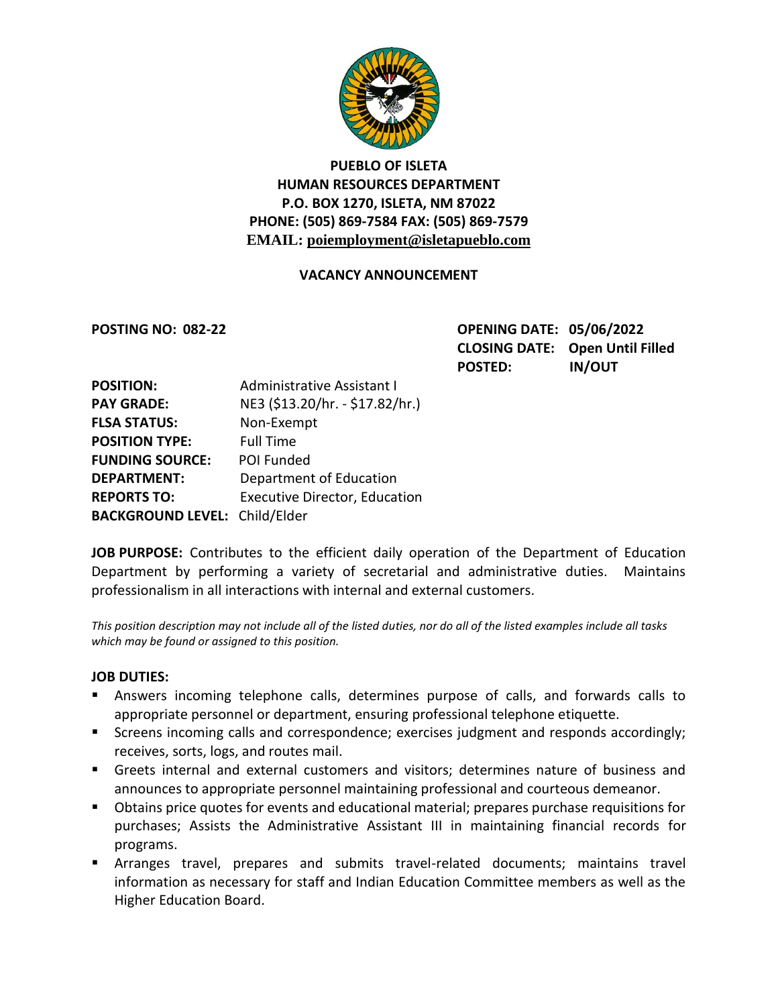

# **PUEBLO OF ISLETA HUMAN RESOURCES DEPARTMENT P.O. BOX 1270, ISLETA, NM 87022 PHONE: (505) 869-7584 FAX: (505) 869-7579 EMAIL: poiemployment@isletapueblo.com**

### **VACANCY ANNOUNCEMENT**

**POSTING NO: 082-22 OPENING DATE: 05/06/2022 CLOSING DATE: Open Until Filled POSTED: IN/OUT**

| <b>POSITION:</b>                     | <b>Administrative Assistant I</b>    |
|--------------------------------------|--------------------------------------|
| <b>PAY GRADE:</b>                    | NE3 (\$13.20/hr. - \$17.82/hr.)      |
| <b>FLSA STATUS:</b>                  | Non-Exempt                           |
| <b>POSITION TYPE:</b>                | <b>Full Time</b>                     |
| <b>FUNDING SOURCE:</b>               | POI Funded                           |
| <b>DEPARTMENT:</b>                   | Department of Education              |
| <b>REPORTS TO:</b>                   | <b>Executive Director, Education</b> |
| <b>BACKGROUND LEVEL: Child/Elder</b> |                                      |

**JOB PURPOSE:** Contributes to the efficient daily operation of the Department of Education Department by performing a variety of secretarial and administrative duties. Maintains professionalism in all interactions with internal and external customers.

*This position description may not include all of the listed duties, nor do all of the listed examples include all tasks which may be found or assigned to this position.*

#### **JOB DUTIES:**

- Answers incoming telephone calls, determines purpose of calls, and forwards calls to appropriate personnel or department, ensuring professional telephone etiquette.
- Screens incoming calls and correspondence; exercises judgment and responds accordingly; receives, sorts, logs, and routes mail.
- Greets internal and external customers and visitors; determines nature of business and announces to appropriate personnel maintaining professional and courteous demeanor.
- Obtains price quotes for events and educational material; prepares purchase requisitions for purchases; Assists the Administrative Assistant III in maintaining financial records for programs.
- Arranges travel, prepares and submits travel-related documents; maintains travel information as necessary for staff and Indian Education Committee members as well as the Higher Education Board.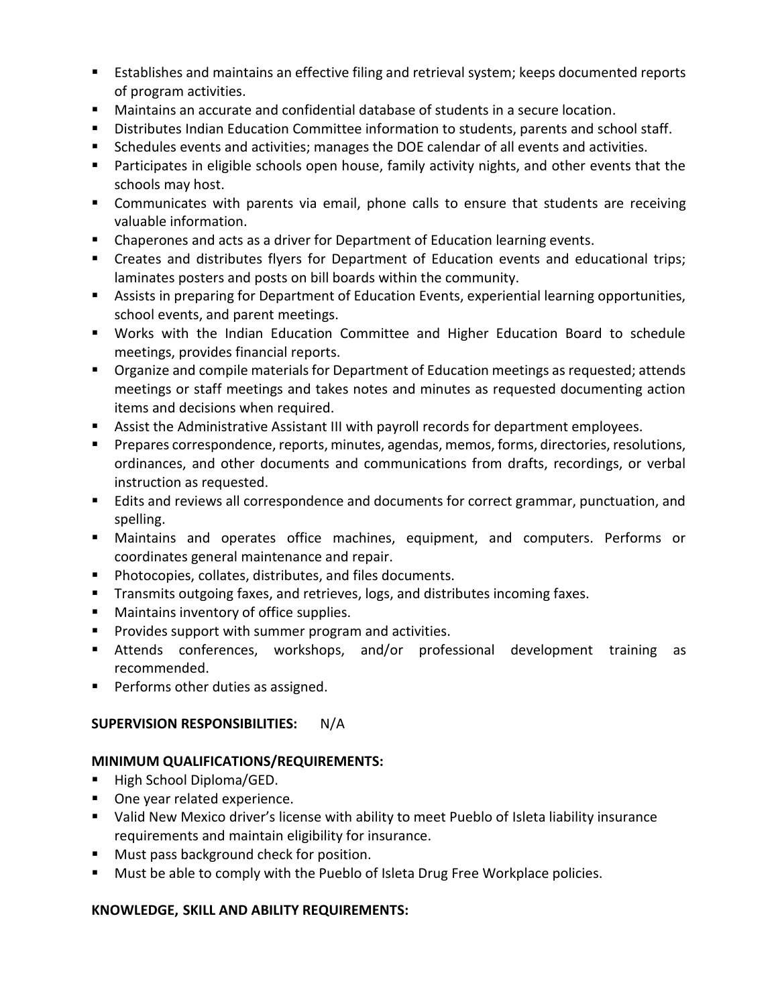- Establishes and maintains an effective filing and retrieval system; keeps documented reports of program activities.
- Maintains an accurate and confidential database of students in a secure location.
- Distributes Indian Education Committee information to students, parents and school staff.
- **Schedules events and activities; manages the DOE calendar of all events and activities.**
- **Participates in eligible schools open house, family activity nights, and other events that the** schools may host.
- **Communicates with parents via email, phone calls to ensure that students are receiving** valuable information.
- Chaperones and acts as a driver for Department of Education learning events.
- Creates and distributes flyers for Department of Education events and educational trips; laminates posters and posts on bill boards within the community.
- Assists in preparing for Department of Education Events, experiential learning opportunities, school events, and parent meetings.
- Works with the Indian Education Committee and Higher Education Board to schedule meetings, provides financial reports.
- **Organize and compile materials for Department of Education meetings as requested; attends** meetings or staff meetings and takes notes and minutes as requested documenting action items and decisions when required.
- Assist the Administrative Assistant III with payroll records for department employees.
- **Prepares correspondence, reports, minutes, agendas, memos, forms, directories, resolutions,** ordinances, and other documents and communications from drafts, recordings, or verbal instruction as requested.
- **E** Edits and reviews all correspondence and documents for correct grammar, punctuation, and spelling.
- Maintains and operates office machines, equipment, and computers. Performs or coordinates general maintenance and repair.
- **Photocopies, collates, distributes, and files documents.**
- **Transmits outgoing faxes, and retrieves, logs, and distributes incoming faxes.**
- **Maintains inventory of office supplies.**
- **Provides support with summer program and activities.**
- Attends conferences, workshops, and/or professional development training as recommended.
- **Performs other duties as assigned.**

# **SUPERVISION RESPONSIBILITIES:** N/A

# **MINIMUM QUALIFICATIONS/REQUIREMENTS:**

- High School Diploma/GED.
- One year related experience.
- Valid New Mexico driver's license with ability to meet Pueblo of Isleta liability insurance requirements and maintain eligibility for insurance.
- **Must pass background check for position.**
- **Must be able to comply with the Pueblo of Isleta Drug Free Workplace policies.**

# **KNOWLEDGE, SKILL AND ABILITY REQUIREMENTS:**